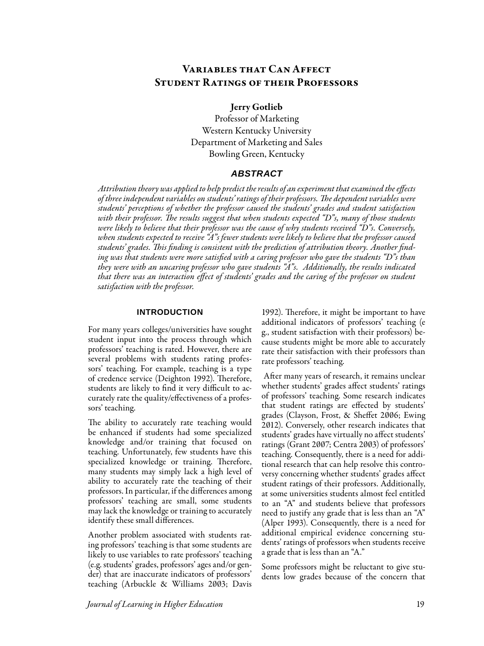# Variables that Can Affect Student Ratings of their Professors

### Jerry Gotlieb

Professor of Marketing Western Kentucky University Department of Marketing and Sales Bowling Green, Kentucky

### *ABSTRACT*

*Attribution theory was applied to help predict the results of an experiment that examined the effects of three independent variables on students' ratings of their professors. The dependent variables were students' perceptions of whether the professor caused the students' grades and student satisfaction with their professor. The results suggest that when students expected "D"s, many of those students were likely to believe that their professor was the cause of why students received "D"s. Conversely, when students expected to receive "A"s fewer students were likely to believe that the professor caused students' grades. This finding is consistent with the prediction of attribution theory. Another finding was that students were more satisfied with a caring professor who gave the students "D"s than they were with an uncaring professor who gave students "A"s. Additionally, the results indicated that there was an interaction effect of students' grades and the caring of the professor on student satisfaction with the professor.*

#### **INTRODUCTION**

For many years colleges/universities have sought student input into the process through which professors' teaching is rated. However, there are several problems with students rating professors' teaching. For example, teaching is a type of credence service (Deighton 1992). Therefore, students are likely to find it very difficult to accurately rate the quality/effectiveness of a professors' teaching.

The ability to accurately rate teaching would be enhanced if students had some specialized knowledge and/or training that focused on teaching. Unfortunately, few students have this specialized knowledge or training. Therefore, many students may simply lack a high level of ability to accurately rate the teaching of their professors. In particular, if the differences among professors' teaching are small, some students may lack the knowledge or training to accurately identify these small differences.

Another problem associated with students rating professors' teaching is that some students are likely to use variables to rate professors' teaching (e.g. students' grades, professors' ages and/or gender) that are inaccurate indicators of professors' teaching (Arbuckle & Williams 2003; Davis 1992). Therefore, it might be important to have additional indicators of professors' teaching (e g., student satisfaction with their professors) because students might be more able to accurately rate their satisfaction with their professors than rate professors' teaching.

 After many years of research, it remains unclear whether students' grades affect students' ratings of professors' teaching. Some research indicates that student ratings are effected by students' grades (Clayson, Frost, & Sheffet 2006; Ewing 2012). Conversely, other research indicates that students' grades have virtually no affect students' ratings (Grant 2007; Centra 2003) of professors' teaching. Consequently, there is a need for additional research that can help resolve this controversy concerning whether students' grades affect student ratings of their professors. Additionally, at some universities students almost feel entitled to an "A" and students believe that professors need to justify any grade that is less than an "A" (Alper 1993). Consequently, there is a need for additional empirical evidence concerning students' ratings of professors when students receive a grade that is less than an "A."

Some professors might be reluctant to give students low grades because of the concern that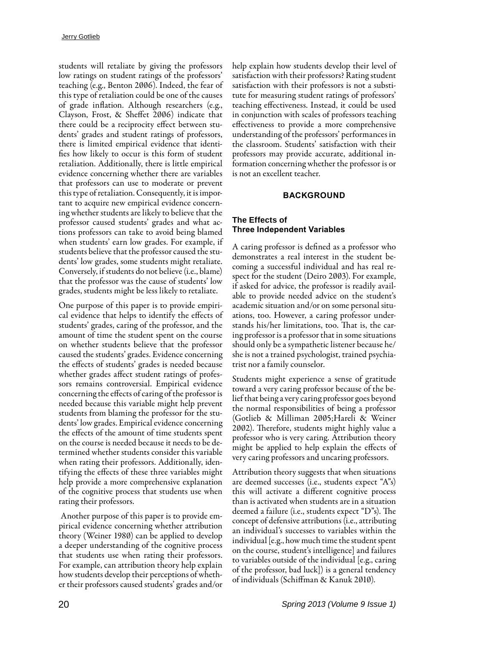students will retaliate by giving the professors low ratings on student ratings of the professors' teaching (e.g., Benton 2006). Indeed, the fear of this type of retaliation could be one of the causes of grade inflation. Although researchers (e.g., Clayson, Frost, & Sheffet 2006) indicate that there could be a reciprocity effect between students' grades and student ratings of professors, there is limited empirical evidence that identifies how likely to occur is this form of student retaliation. Additionally, there is little empirical evidence concerning whether there are variables that professors can use to moderate or prevent this type of retaliation. Consequently, it is important to acquire new empirical evidence concerning whether students are likely to believe that the professor caused students' grades and what actions professors can take to avoid being blamed when students' earn low grades. For example, if students believe that the professor caused the students' low grades, some students might retaliate. Conversely, if students do not believe (i.e., blame) that the professor was the cause of students' low grades, students might be less likely to retaliate.

One purpose of this paper is to provide empirical evidence that helps to identify the effects of students' grades, caring of the professor, and the amount of time the student spent on the course on whether students believe that the professor caused the students' grades. Evidence concerning the effects of students' grades is needed because whether grades affect student ratings of professors remains controversial. Empirical evidence concerning the effects of caring of the professor is needed because this variable might help prevent students from blaming the professor for the students' low grades. Empirical evidence concerning the effects of the amount of time students spent on the course is needed because it needs to be determined whether students consider this variable when rating their professors. Additionally, identifying the effects of these three variables might help provide a more comprehensive explanation of the cognitive process that students use when rating their professors.

 Another purpose of this paper is to provide empirical evidence concerning whether attribution theory (Weiner 1980) can be applied to develop a deeper understanding of the cognitive process that students use when rating their professors. For example, can attribution theory help explain how students develop their perceptions of whether their professors caused students' grades and/or

help explain how students develop their level of satisfaction with their professors? Rating student satisfaction with their professors is not a substitute for measuring student ratings of professors' teaching effectiveness. Instead, it could be used in conjunction with scales of professors teaching effectiveness to provide a more comprehensive understanding of the professors' performances in the classroom. Students' satisfaction with their professors may provide accurate, additional information concerning whether the professor is or is not an excellent teacher.

#### **BACKGROUND**

### **The Effects of Three Independent Variables**

A caring professor is defined as a professor who demonstrates a real interest in the student becoming a successful individual and has real respect for the student (Deiro 2003). For example, if asked for advice, the professor is readily available to provide needed advice on the student's academic situation and/or on some personal situations, too. However, a caring professor understands his/her limitations, too. That is, the caring professor is a professor that in some situations should only be a sympathetic listener because he/ she is not a trained psychologist, trained psychiatrist nor a family counselor.

Students might experience a sense of gratitude toward a very caring professor because of the belief that being a very caring professor goes beyond the normal responsibilities of being a professor (Gotlieb & Milliman 2005;Hareli & Weiner 2002). Therefore, students might highly value a professor who is very caring. Attribution theory might be applied to help explain the effects of very caring professors and uncaring professors.

Attribution theory suggests that when situations are deemed successes (i.e., students expect "A"s) this will activate a different cognitive process than is activated when students are in a situation deemed a failure (i.e., students expect "D"s). The concept of defensive attributions (i.e., attributing an individual's successes to variables within the individual [e.g., how much time the student spent on the course, student's intelligence] and failures to variables outside of the individual [e.g., caring of the professor, bad luck]) is a general tendency of individuals (Schiffman & Kanuk 2010).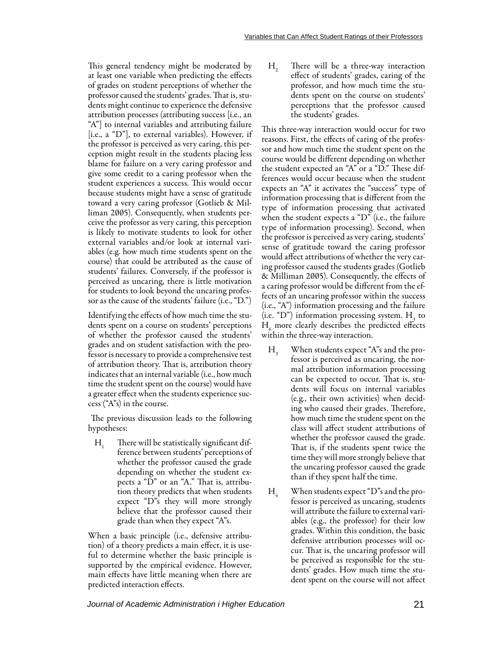This general tendency might be moderated by at least one variable when predicting the effects of grades on student perceptions of whether the professor caused the students' grades. That is, students might continue to experience the defensive attribution processes (attributing success [i.e., an "A"] to internal variables and attributing failure [i.e., a "D"], to external variables). However, if the professor is perceived as very caring, this perception might result in the students placing less blame for failure on a very caring professor and give some credit to a caring professor when the student experiences a success. This would occur because students might have a sense of gratitude toward a very caring professor (Gotlieb & Milliman 2005). Consequently, when students perceive the professor as very caring, this perception is likely to motivate students to look for other external variables and/or look at internal variables (e.g. how much time students spent on the course) that could be attributed as the cause of students' failures. Conversely, if the professor is perceived as uncaring, there is little motivation for students to look beyond the uncaring professor as the cause of the students' failure (i.e., "D.")

Identifying the effects of how much time the students spent on a course on students' perceptions of whether the professor caused the students' grades and on student satisfaction with the professor is necessary to provide a comprehensive test of attribution theory. That is, attribution theory indicates that an internal variable (i.e., how much time the student spent on the course) would have a greater effect when the students experience success ("A"s) in the course.

 The previous discussion leads to the following hypotheses:

 $H_1$  There will be statistically significant difference between students' perceptions of whether the professor caused the grade depending on whether the student expects a "D" or an "A." That is, attribution theory predicts that when students expect "D"s they will more strongly believe that the professor caused their grade than when they expect "A"s.

When a basic principle (i.e., defensive attribution) of a theory predicts a main effect, it is useful to determine whether the basic principle is supported by the empirical evidence. However, main effects have little meaning when there are predicted interaction effects.

 $H<sub>2</sub>$  There will be a three-way interaction effect of students' grades, caring of the professor, and how much time the students spent on the course on students' perceptions that the professor caused the students' grades.

This three-way interaction would occur for two reasons. First, the effects of caring of the professor and how much time the student spent on the course would be different depending on whether the student expected an "A" or a "D." These differences would occur because when the student expects an "A" it activates the "success" type of information processing that is different from the type of information processing that activated when the student expects a "D" (i.e., the failure type of information processing). Second, when the professor is perceived as very caring, students' sense of gratitude toward the caring professor would affect attributions of whether the very caring professor caused the students grades (Gotlieb & Milliman 2005). Consequently, the effects of a caring professor would be different from the effects of an uncaring professor within the success (i.e., "A") information processing and the failure (i.e. "D") information processing system.  $H_3$  to  $H_{6}$  more clearly describes the predicted effects within the three-way interaction.

- $H<sub>3</sub>$  When students expect "A"s and the professor is perceived as uncaring, the normal attribution information processing can be expected to occur. That is, students will focus on internal variables (e.g., their own activities) when deciding who caused their grades. Therefore, how much time the student spent on the class will affect student attributions of whether the professor caused the grade. That is, if the students spent twice the time they will more strongly believe that the uncaring professor caused the grade than if they spent half the time.
- $H_4$  When students expect "D"s and the professor is perceived as uncaring, students will attribute the failure to external variables (e.g., the professor) for their low grades. Within this condition, the basic defensive attribution processes will occur. That is, the uncaring professor will be perceived as responsible for the students' grades. How much time the student spent on the course will not affect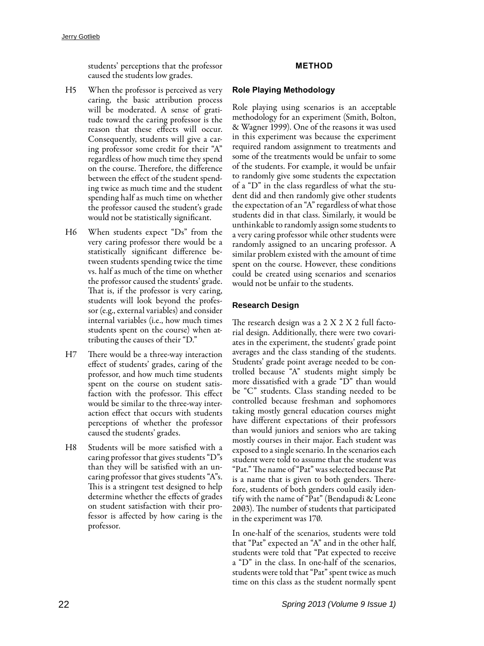students' perceptions that the professor caused the students low grades.

- H5 When the professor is perceived as very caring, the basic attribution process will be moderated. A sense of gratitude toward the caring professor is the reason that these effects will occur. Consequently, students will give a caring professor some credit for their "A" regardless of how much time they spend on the course. Therefore, the difference between the effect of the student spending twice as much time and the student spending half as much time on whether the professor caused the student's grade would not be statistically significant.
- H6 When students expect "Ds" from the very caring professor there would be a statistically significant difference between students spending twice the time vs. half as much of the time on whether the professor caused the students' grade. That is, if the professor is very caring, students will look beyond the professor (e.g., external variables) and consider internal variables (i.e., how much times students spent on the course) when attributing the causes of their "D."
- H7 There would be a three-way interaction effect of students' grades, caring of the professor, and how much time students spent on the course on student satisfaction with the professor. This effect would be similar to the three-way interaction effect that occurs with students perceptions of whether the professor caused the students' grades.
- H8 Students will be more satisfied with a caring professor that gives students "D"s than they will be satisfied with an uncaring professor that gives students "A"s. This is a stringent test designed to help determine whether the effects of grades on student satisfaction with their professor is affected by how caring is the professor.

# **METHOD**

# **Role Playing Methodology**

Role playing using scenarios is an acceptable methodology for an experiment (Smith, Bolton, & Wagner 1999). One of the reasons it was used in this experiment was because the experiment required random assignment to treatments and some of the treatments would be unfair to some of the students. For example, it would be unfair to randomly give some students the expectation of a "D" in the class regardless of what the student did and then randomly give other students the expectation of an "A" regardless of what those students did in that class. Similarly, it would be unthinkable to randomly assign some students to a very caring professor while other students were randomly assigned to an uncaring professor. A similar problem existed with the amount of time spent on the course. However, these conditions could be created using scenarios and scenarios would not be unfair to the students.

# **Research Design**

The research design was a 2 X 2 X 2 full factorial design. Additionally, there were two covariates in the experiment, the students' grade point averages and the class standing of the students. Students' grade point average needed to be controlled because "A" students might simply be more dissatisfied with a grade "D" than would be "C" students. Class standing needed to be controlled because freshman and sophomores taking mostly general education courses might have different expectations of their professors than would juniors and seniors who are taking mostly courses in their major. Each student was exposed to a single scenario. In the scenarios each student were told to assume that the student was "Pat." The name of "Pat" was selected because Pat is a name that is given to both genders. Therefore, students of both genders could easily identify with the name of "Pat" (Bendapudi & Leone 2003). The number of students that participated in the experiment was 170.

In one-half of the scenarios, students were told that "Pat" expected an "A" and in the other half, students were told that "Pat expected to receive a "D" in the class. In one-half of the scenarios, students were told that "Pat" spent twice as much time on this class as the student normally spent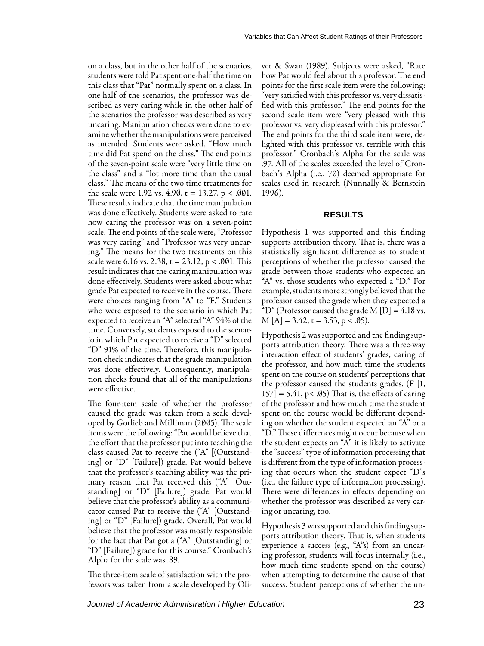on a class, but in the other half of the scenarios, students were told Pat spent one-half the time on this class that "Pat" normally spent on a class. In one-half of the scenarios, the professor was described as very caring while in the other half of the scenarios the professor was described as very uncaring. Manipulation checks were done to examine whether the manipulations were perceived as intended. Students were asked, "How much time did Pat spend on the class." The end points of the seven-point scale were "very little time on the class" and a "lot more time than the usual class." The means of the two time treatments for the scale were 1.92 vs. 4.90,  $t = 13.27$ ,  $p < .001$ . These results indicate that the time manipulation was done effectively. Students were asked to rate how caring the professor was on a seven-point scale. The end points of the scale were, "Professor was very caring" and "Professor was very uncaring." The means for the two treatments on this scale were 6.16 vs. 2.38,  $t = 23.12$ ,  $p < .001$ . This result indicates that the caring manipulation was done effectively. Students were asked about what grade Pat expected to receive in the course. There were choices ranging from "A" to "F." Students who were exposed to the scenario in which Pat expected to receive an "A" selected "A" 94% of the time. Conversely, students exposed to the scenario in which Pat expected to receive a "D" selected "D" 91% of the time. Therefore, this manipulation check indicates that the grade manipulation was done effectively. Consequently, manipulation checks found that all of the manipulations were effective.

The four-item scale of whether the professor caused the grade was taken from a scale developed by Gotlieb and Milliman (2005). The scale items were the following: "Pat would believe that the effort that the professor put into teaching the class caused Pat to receive the ("A" [(Outstanding] or "D" [Failure]) grade. Pat would believe that the professor's teaching ability was the primary reason that Pat received this ("A" [Outstanding] or "D" [Failure]) grade. Pat would believe that the professor's ability as a communicator caused Pat to receive the ("A" [Outstanding] or "D" [Failure]) grade. Overall, Pat would believe that the professor was mostly responsible for the fact that Pat got a ("A" [Outstanding] or "D" [Failure]) grade for this course." Cronbach's Alpha for the scale was .89.

The three-item scale of satisfaction with the professors was taken from a scale developed by Oli-

ver & Swan (1989). Subjects were asked, "Rate how Pat would feel about this professor. The end points for the first scale item were the following: "very satisfied with this professor vs. very dissatisfied with this professor." The end points for the second scale item were "very pleased with this professor vs. very displeased with this professor." The end points for the third scale item were, delighted with this professor vs. terrible with this professor." Cronbach's Alpha for the scale was .97. All of the scales exceeded the level of Cronbach's Alpha (i.e., 70) deemed appropriate for scales used in research (Nunnally & Bernstein 1996).

#### **RESULTS**

Hypothesis 1 was supported and this finding supports attribution theory. That is, there was a statistically significant difference as to student perceptions of whether the professor caused the grade between those students who expected an "A" vs. those students who expected a "D." For example, students more strongly believed that the professor caused the grade when they expected a "D" (Professor caused the grade M  $[D] = 4.18$  vs.  $M[A] = 3.42$ , t = 3.53, p < .05).

Hypothesis 2 was supported and the finding supports attribution theory. There was a three-way interaction effect of students' grades, caring of the professor, and how much time the students spent on the course on students' perceptions that the professor caused the students grades.  $(F | l, l)$  $157$  = 5.41, p< .05) That is, the effects of caring of the professor and how much time the student spent on the course would be different depending on whether the student expected an "A" or a "D." These differences might occur because when the student expects an "A" it is likely to activate the "success" type of information processing that is different from the type of information processing that occurs when the student expect "D"s (i.e., the failure type of information processing). There were differences in effects depending on whether the professor was described as very caring or uncaring, too.

Hypothesis 3 was supported and this finding supports attribution theory. That is, when students experience a success (e.g., "A"s) from an uncaring professor, students will focus internally (i.e., how much time students spend on the course) when attempting to determine the cause of that success. Student perceptions of whether the un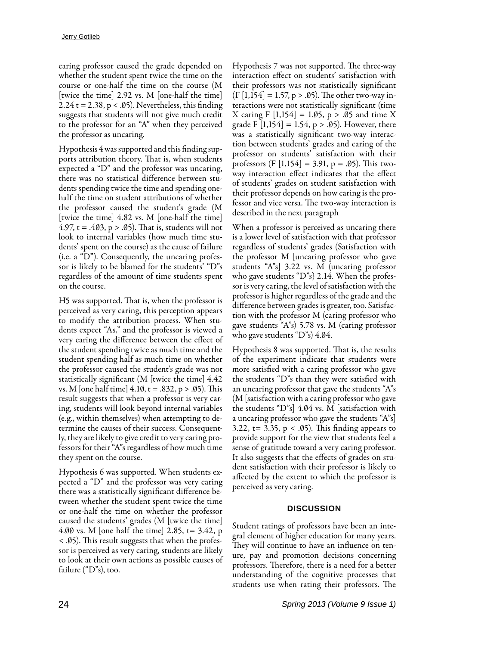caring professor caused the grade depended on whether the student spent twice the time on the course or one-half the time on the course (M [twice the time] 2.92 vs. M [one-half the time]  $2.24$  t = 2.38, p < .05). Nevertheless, this finding suggests that students will not give much credit to the professor for an "A" when they perceived the professor as uncaring.

Hypothesis 4 was supported and this finding supports attribution theory. That is, when students expected a "D" and the professor was uncaring, there was no statistical difference between students spending twice the time and spending onehalf the time on student attributions of whether the professor caused the student's grade (M [twice the time] 4.82 vs. M [one-half the time] 4.97,  $t = .403$ ,  $p > .05$ ). That is, students will not look to internal variables (how much time students' spent on the course) as the cause of failure (i.e. a "D"). Consequently, the uncaring professor is likely to be blamed for the students' "D"s regardless of the amount of time students spent on the course.

H5 was supported. That is, when the professor is perceived as very caring, this perception appears to modify the attribution process. When students expect "As," and the professor is viewed a very caring the difference between the effect of the student spending twice as much time and the student spending half as much time on whether the professor caused the student's grade was not statistically significant (M [twice the time] 4.42 vs. M [one half time]  $4.10$ , t = .832, p > .05). This result suggests that when a professor is very caring, students will look beyond internal variables (e.g., within themselves) when attempting to determine the causes of their success. Consequently, they are likely to give credit to very caring professors for their "A"s regardless of how much time they spent on the course.

Hypothesis 6 was supported. When students expected a "D" and the professor was very caring there was a statistically significant difference between whether the student spent twice the time or one-half the time on whether the professor caused the students' grades (M [twice the time] 4.00 vs. M [one half the time] 2.85, t= 3.42, p < .05). This result suggests that when the professor is perceived as very caring, students are likely to look at their own actions as possible causes of failure ("D"s), too.

Hypothesis 7 was not supported. The three-way interaction effect on students' satisfaction with their professors was not statistically significant  $(F [1, 154] = 1.57, p > .05)$ . The other two-way interactions were not statistically significant (time X caring F  $[1,154] = 1.05$ , p > .05 and time X grade F  $[1,154] = 1.54$ , p > .05). However, there was a statistically significant two-way interaction between students' grades and caring of the professor on students' satisfaction with their professors (F [1,154] = 3.91, p = .05). This twoway interaction effect indicates that the effect of students' grades on student satisfaction with their professor depends on how caring is the professor and vice versa. The two-way interaction is described in the next paragraph

When a professor is perceived as uncaring there is a lower level of satisfaction with that professor regardless of students' grades (Satisfaction with the professor M [uncaring professor who gave students "A"s] 3.22 vs. M (uncaring professor who gave students "D"s} 2.14. When the professor is very caring, the level of satisfaction with the professor is higher regardless of the grade and the difference between grades is greater, too. Satisfaction with the professor M (caring professor who gave students "A"s) 5.78 vs. M (caring professor who gave students "D"s)  $4.04$ .

Hypothesis 8 was supported. That is, the results of the experiment indicate that students were more satisfied with a caring professor who gave the students "D"s than they were satisfied with an uncaring professor that gave the students "A"s (M [satisfaction with a caring professor who gave the students "D"s] 4.04 vs. M [satisfaction with a uncaring professor who gave the students "A"s] 3.22,  $t = 3.35$ ,  $p < .05$ ). This finding appears to provide support for the view that students feel a sense of gratitude toward a very caring professor. It also suggests that the effects of grades on student satisfaction with their professor is likely to affected by the extent to which the professor is perceived as very caring.

#### **DISCUSSION**

Student ratings of professors have been an integral element of higher education for many years. They will continue to have an influence on tenure, pay and promotion decisions concerning professors. Therefore, there is a need for a better understanding of the cognitive processes that students use when rating their professors. The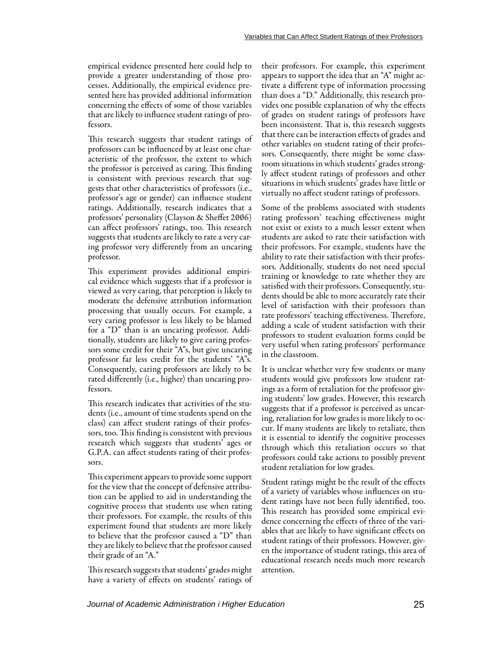empirical evidence presented here could help to provide a greater understanding of those processes. Additionally, the empirical evidence presented here has provided additional information concerning the effects of some of those variables that are likely to influence student ratings of professors.

This research suggests that student ratings of professors can be influenced by at least one characteristic of the professor, the extent to which the professor is perceived as caring. This finding is consistent with previous research that suggests that other characteristics of professors (i.e., professor's age or gender) can influence student ratings. Additionally, research indicates that a professors' personality (Clayson & Sheffet 2006) can affect professors' ratings, too. This research suggests that students are likely to rate a very caring professor very differently from an uncaring professor.

This experiment provides additional empirical evidence which suggests that if a professor is viewed as very caring, that perception is likely to moderate the defensive attribution information processing that usually occurs. For example, a very caring professor is less likely to be blamed for a "D" than is an uncaring professor. Additionally, students are likely to give caring professors some credit for their "A"s, but give uncaring professor far less credit for the students' "A"s. Consequently, caring professors are likely to be rated differently (i.e., higher) than uncaring professors.

This research indicates that activities of the students (i.e., amount of time students spend on the class) can affect student ratings of their professors, too. This finding is consistent with previous research which suggests that students' ages or G.P.A. can affect students rating of their professors.

This experiment appears to provide some support for the view that the concept of defensive attribution can be applied to aid in understanding the cognitive process that students use when rating their professors. For example, the results of this experiment found that students are more likely to believe that the professor caused a "D" than they are likely to believe that the professor caused their grade of an "A."

This research suggests that students' grades might have a variety of effects on students' ratings of their professors. For example, this experiment appears to support the idea that an "A" might activate a different type of information processing than does a "D." Additionally, this research provides one possible explanation of why the effects of grades on student ratings of professors have been inconsistent. That is, this research suggests that there can be interaction effects of grades and other variables on student rating of their professors. Consequently, there might be some classroom situations in which students' grades strongly affect student ratings of professors and other situations in which students' grades have little or virtually no affect student ratings of professors.

Some of the problems associated with students rating professors' teaching effectiveness might not exist or exists to a much lesser extent when students are asked to rate their satisfaction with their professors. For example, students have the ability to rate their satisfaction with their professors. Additionally, students do not need special training or knowledge to rate whether they are satisfied with their professors. Consequently, students should be able to more accurately rate their level of satisfaction with their professors than rate professors' teaching effectiveness. Therefore, adding a scale of student satisfaction with their professors to student evaluation forms could be very useful when rating professors' performance in the classroom.

It is unclear whether very few students or many students would give professors low student ratings as a form of retaliation for the professor giving students' low grades. However, this research suggests that if a professor is perceived as uncaring, retaliation for low grades is more likely to occur. If many students are likely to retaliate, then it is essential to identify the cognitive processes through which this retaliation occurs so that professors could take actions to possibly prevent student retaliation for low grades.

Student ratings might be the result of the effects of a variety of variables whose influences on student ratings have not been fully identified, too. This research has provided some empirical evidence concerning the effects of three of the variables that are likely to have significant effects on student ratings of their professors. However, given the importance of student ratings, this area of educational research needs much more research attention.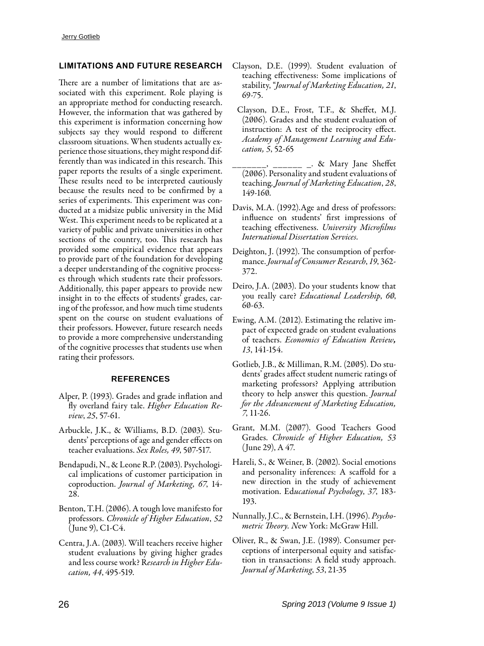## **LIMITATIONS AND FUTURE RESEARCH**

There are a number of limitations that are associated with this experiment. Role playing is an appropriate method for conducting research. However, the information that was gathered by this experiment is information concerning how subjects say they would respond to different classroom situations. When students actually experience those situations, they might respond differently than was indicated in this research. This paper reports the results of a single experiment. These results need to be interpreted cautiously because the results need to be confirmed by a series of experiments. This experiment was conducted at a midsize public university in the Mid West. This experiment needs to be replicated at a variety of public and private universities in other sections of the country, too. This research has provided some empirical evidence that appears to provide part of the foundation for developing a deeper understanding of the cognitive processes through which students rate their professors. Additionally, this paper appears to provide new insight in to the effects of students' grades, caring of the professor, and how much time students spent on the course on student evaluations of their professors. However, future research needs to provide a more comprehensive understanding of the cognitive processes that students use when rating their professors.

#### **REFERENCES**

- Alper, P. (1993). Grades and grade inflation and fly overland fairy tale. *Higher Education Review*, *25*, 57-61.
- Arbuckle, J.K., & Williams, B.D. (2003). Students' perceptions of age and gender effects on teacher evaluations. *Sex Roles, 49*, 507-517.
- Bendapudi, N., & Leone R.P. (2003). Psychological implications of customer participation in coproduction. *Journal of Marketing, 67*, 14- 28.
- Benton, T.H. (2006). A tough love manifesto for professors. *Chronicle of Higher Education*, *52* (June 9), C1-C4.
- Centra, J.A. (2003). Will teachers receive higher student evaluations by giving higher grades and less course work? R*esearch in Higher Education, 44*, 495-519.
- Clayson, D.E. (1999). Student evaluation of teaching effectiveness: Some implications of stability, "*Journal of Marketing Education, 21*, 69-75.
- Clayson, D.E., Frost, T.F., & Sheffet, M.J. (2006). Grades and the student evaluation of instruction: A test of the reciprocity effect. *Academy of Management Learning and Education, 5*, 52-65
- $\frac{1}{x}$   $\frac{1}{x}$  & Mary Jane Sheffet (2006). Personality and student evaluations of teaching. *Journal of Marketing Education*, *28*, 149-160.
- Davis, M.A. (1992).Age and dress of professors: influence on students' first impressions of teaching effectiveness. *University Microfilms International Dissertation Services.*
- Deighton, J. (1992). The consumption of performance. *Journal of Consumer Research*, *19*, 362- 372.
- Deiro, J.A. (2003). Do your students know that you really care? *Educational Leadership*, *60*, 60-63.
- Ewing, A.M. (2012). Estimating the relative impact of expected grade on student evaluations of teachers. *Economics of Education Review, 13*, 141-154.
- Gotlieb, J.B., & Milliman, R.M. (2005). Do students' grades affect student numeric ratings of marketing professors? Applying attribution theory to help answer this question. *Journal for the Advancement of Marketing Education, 7*, 11-26.
- Grant, M.M. (2007). Good Teachers Good Grades. *Chronicle of Higher Education, 53* (June 29), A 47.
- Hareli, S., & Weiner, B. (2002). Social emotions and personality inferences: A scaffold for a new direction in the study of achievement motivation. Ed*ucational Psychology*, *37*, 183- 193.
- Nunnally, J.C., & Bernstein, I.H. (1996). *Psychometric Theory. N*ew York: McGraw Hill.
- Oliver, R., & Swan, J.E. (1989). Consumer perceptions of interpersonal equity and satisfaction in transactions: A field study approach. *Journal of Marketing*, *53*, 21-35